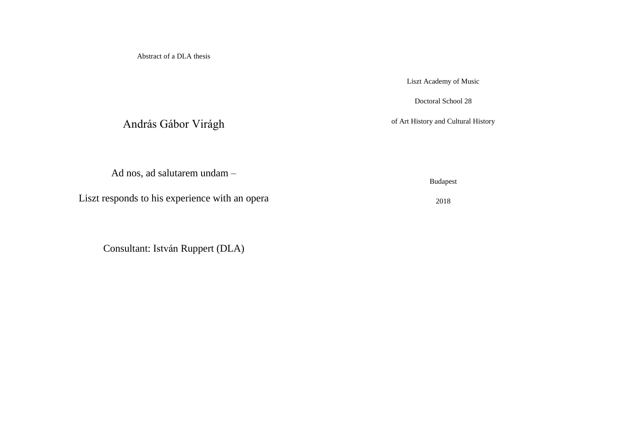Abstract of a DLA thesis

Liszt Academy of Music

Doctoral School 28

of Art History and Cultural History

András Gábor Virágh

Ad nos, ad salutarem undam –

Liszt responds to his experience with an opera

Consultant: István Ruppert (DLA)

Budapest

2018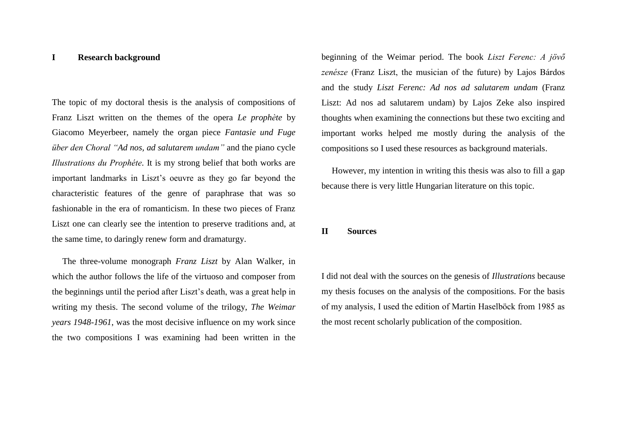## **I Research background**

The topic of my doctoral thesis is the analysis of compositions of Franz Liszt written on the themes of the opera *Le prophète* by Giacomo Meyerbeer, namely the organ piece *Fantasie und Fuge über den Choral "Ad nos, ad salutarem undam"* and the piano cycle *Illustrations du Prophéte*. It is my strong belief that both works are important landmarks in Liszt's oeuvre as they go far beyond the characteristic features of the genre of paraphrase that was so fashionable in the era of romanticism. In these two pieces of Franz Liszt one can clearly see the intention to preserve traditions and, at the same time, to daringly renew form and dramaturgy.

The three-volume monograph *Franz Liszt* by Alan Walker, in which the author follows the life of the virtuoso and composer from the beginnings until the period after Liszt's death, was a great help in writing my thesis. The second volume of the trilogy, *The Weimar years 1948-1961*, was the most decisive influence on my work since the two compositions I was examining had been written in the

beginning of the Weimar period. The book *Liszt Ferenc: A jövő zenésze* (Franz Liszt, the musician of the future) by Lajos Bárdos and the study *Liszt Ferenc: Ad nos ad salutarem undam* (Franz Liszt: Ad nos ad salutarem undam) by Lajos Zeke also inspired thoughts when examining the connections but these two exciting and important works helped me mostly during the analysis of the compositions so I used these resources as background materials.

However, my intention in writing this thesis was also to fill a gap because there is very little Hungarian literature on this topic.

## **II Sources**

I did not deal with the sources on the genesis of *Illustrations* because my thesis focuses on the analysis of the compositions. For the basis of my analysis, I used the edition of Martin Haselböck from 1985 as the most recent scholarly publication of the composition.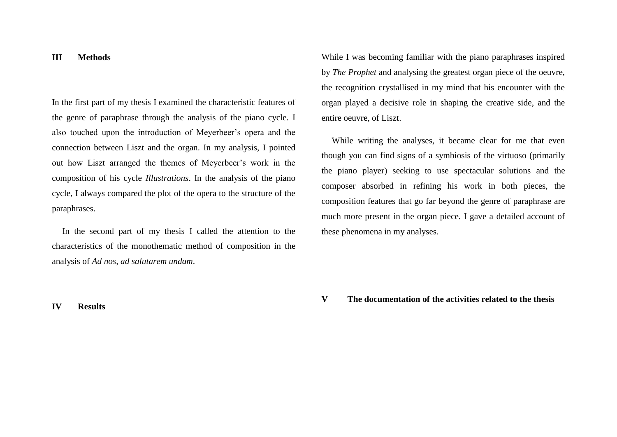## **III Methods**

In the first part of my thesis I examined the characteristic features of the genre of paraphrase through the analysis of the piano cycle. I also touched upon the introduction of Meyerbeer's opera and the connection between Liszt and the organ. In my analysis, I pointed out how Liszt arranged the themes of Meyerbeer's work in the composition of his cycle *Illustrations*. In the analysis of the piano cycle, I always compared the plot of the opera to the structure of the paraphrases.

In the second part of my thesis I called the attention to the characteristics of the monothematic method of composition in the analysis of *Ad nos, ad salutarem undam*.

While I was becoming familiar with the piano paraphrases inspired by *The Prophet* and analysing the greatest organ piece of the oeuvre, the recognition crystallised in my mind that his encounter with the organ played a decisive role in shaping the creative side, and the entire oeuvre, of Liszt.

While writing the analyses, it became clear for me that even though you can find signs of a symbiosis of the virtuoso (primarily the piano player) seeking to use spectacular solutions and the composer absorbed in refining his work in both pieces, the composition features that go far beyond the genre of paraphrase are much more present in the organ piece. I gave a detailed account of these phenomena in my analyses.

**V The documentation of the activities related to the thesis** 

## **IV Results**